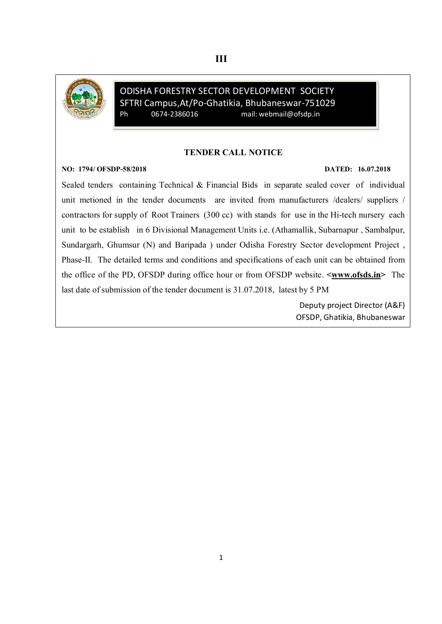

ODISHA FORESTRY SECTOR DEVELOPMENT SOCIETY SFTRI Campus, At/Po-Ghatikia, Bhubaneswar-751029<br>Ph 0674-2386016 mail: webmail@ofsdp.in Ph 0674-2386016 mail: webmail@ofsdp.in

#### TENDER CALL NOTICE

#### NO: 1794/ OFSDP-58/2018 DATED: 16.07.2018

Sealed tenders containing Technical & Financial Bids in separate sealed cover of individual unit metioned in the tender documents are invited from manufacturers /dealers/ suppliers / contractors for supply of Root Trainers (300 cc) with stands for use in the Hi-tech nursery each unit to be establish in 6 Divisional Management Units i.e. (Athamallik, Subarnapur , Sambalpur, Sundargarh, Ghumsur (N) and Baripada ) under Odisha Forestry Sector development Project , Phase-II. The detailed terms and conditions and specifications of each unit can be obtained from the office of the PD, OFSDP during office hour or from OFSDP website.  $\leq$ www.ofsds.in> The last date of submission of the tender document is 31.07.2018, latest by 5 PM

> Deputy project Director (A&F) OFSDP, Ghatikia, Bhubaneswar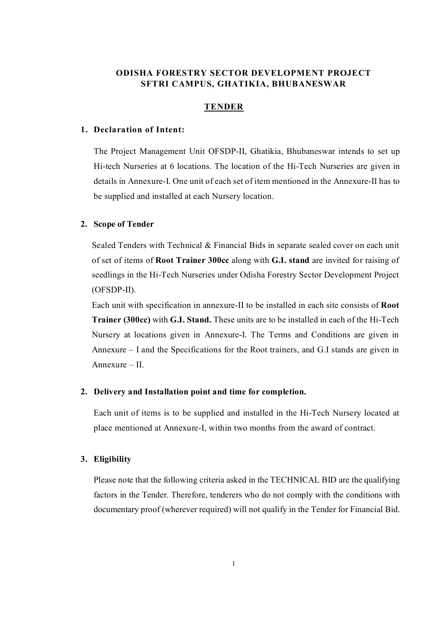## ODISHA FORESTRY SECTOR DEVELOPMENT PROJECT SFTRI CAMPUS, GHATIKIA, BHUBANESWAR

#### TENDER

#### 1. Declaration of Intent:

The Project Management Unit OFSDP-II, Ghatikia, Bhubaneswar intends to set up Hi-tech Nurseries at 6 locations. The location of the Hi-Tech Nurseries are given in details in Annexure-I. One unit of each set of item mentioned in the Annexure-II has to be supplied and installed at each Nursery location.

#### 2. Scope of Tender

Sealed Tenders with Technical & Financial Bids in separate sealed cover on each unit of set of items of Root Trainer 300cc along with G.I. stand are invited for raising of seedlings in the Hi-Tech Nurseries under Odisha Forestry Sector Development Project (OFSDP-II).

Each unit with specification in annexure-II to be installed in each site consists of Root Trainer (300cc) with G.I. Stand. These units are to be installed in each of the Hi-Tech Nursery at locations given in Annexure-I. The Terms and Conditions are given in Annexure – I and the Specifications for the Root trainers, and G.I stands are given in Annexure – II.

#### 2. Delivery and Installation point and time for completion.

Each unit of items is to be supplied and installed in the Hi-Tech Nursery located at place mentioned at Annexure-I, within two months from the award of contract.

#### 3. Eligibility

Please note that the following criteria asked in the TECHNICAL BID are the qualifying factors in the Tender. Therefore, tenderers who do not comply with the conditions with documentary proof (wherever required) will not qualify in the Tender for Financial Bid.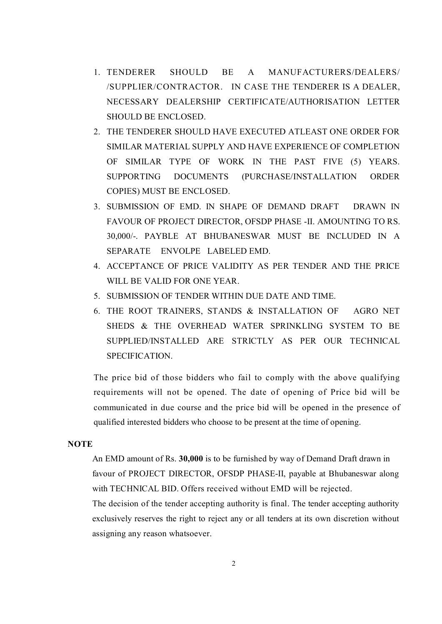- 1. TENDERER SHOULD BE A MANUFACTURERS/DEALERS/ /SUPPLIER/CONTRACTOR. IN CASE THE TENDERER IS A DEALER, NECESSARY DEALERSHIP CERTIFICATE/AUTHORISATION LETTER SHOULD BE ENCLOSED.
- 2. THE TENDERER SHOULD HAVE EXECUTED ATLEAST ONE ORDER FOR SIMILAR MATERIAL SUPPLY AND HAVE EXPERIENCE OF COMPLETION OF SIMILAR TYPE OF WORK IN THE PAST FIVE (5) YEARS. SUPPORTING DOCUMENTS (PURCHASE/INSTALLATION ORDER COPIES) MUST BE ENCLOSED.
- 3. SUBMISSION OF EMD. IN SHAPE OF DEMAND DRAFT DRAWN IN FAVOUR OF PROJECT DIRECTOR, OFSDP PHASE -II. AMOUNTING TO RS. 30,000/-. PAYBLE AT BHUBANESWAR MUST BE INCLUDED IN A SEPARATE ENVOLPE LABELED EMD.
- 4. ACCEPTANCE OF PRICE VALIDITY AS PER TENDER AND THE PRICE WILL BE VALID FOR ONE YEAR.
- 5. SUBMISSION OF TENDER WITHIN DUE DATE AND TIME.
- 6. THE ROOT TRAINERS, STANDS & INSTALLATION OF AGRO NET SHEDS & THE OVERHEAD WATER SPRINKLING SYSTEM TO BE SUPPLIED/INSTALLED ARE STRICTLY AS PER OUR TECHNICAL SPECIFICATION.

The price bid of those bidders who fail to comply with the above qualifying requirements will not be opened. The date of opening of Price bid will be communicated in due course and the price bid will be opened in the presence of qualified interested bidders who choose to be present at the time of opening.

## **NOTE**

An EMD amount of Rs. 30,000 is to be furnished by way of Demand Draft drawn in favour of PROJECT DIRECTOR, OFSDP PHASE-II, payable at Bhubaneswar along with TECHNICAL BID. Offers received without EMD will be rejected.

The decision of the tender accepting authority is final. The tender accepting authority exclusively reserves the right to reject any or all tenders at its own discretion without assigning any reason whatsoever.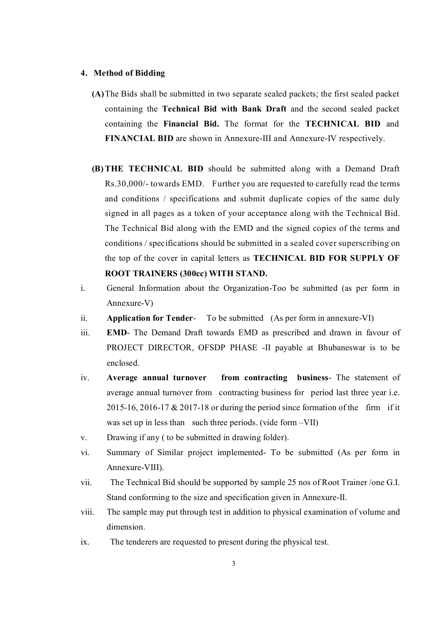#### 4. Method of Bidding

- (A)The Bids shall be submitted in two separate sealed packets; the first sealed packet containing the Technical Bid with Bank Draft and the second sealed packet containing the Financial Bid. The format for the TECHNICAL BID and FINANCIAL BID are shown in Annexure-III and Annexure-IV respectively.
- (B)THE TECHNICAL BID should be submitted along with a Demand Draft Rs.30,000/- towards EMD. Further you are requested to carefully read the terms and conditions / specifications and submit duplicate copies of the same duly signed in all pages as a token of your acceptance along with the Technical Bid. The Technical Bid along with the EMD and the signed copies of the terms and conditions / specifications should be submitted in a sealed cover superscribing on the top of the cover in capital letters as TECHNICAL BID FOR SUPPLY OF ROOT TRAINERS (300cc) WITH STAND.
- i. General Information about the Organization-Too be submitted (as per form in Annexure-V)
- ii. **Application for Tender-** To be submitted (As per form in annexure-VI)
- iii. EMD- The Demand Draft towards EMD as prescribed and drawn in favour of PROJECT DIRECTOR, OFSDP PHASE -II payable at Bhubaneswar is to be enclosed.
- iv. Average annual turnover from contracting business- The statement of average annual turnover from contracting business for period last three year i.e. 2015-16, 2016-17  $& 2017$ -18 or during the period since formation of the firm if it was set up in less than such three periods. (vide form –VII)
- v. Drawing if any ( to be submitted in drawing folder).
- vi. Summary of Similar project implemented- To be submitted (As per form in Annexure-VIII).
- vii. The Technical Bid should be supported by sample 25 nos of Root Trainer /one G.I. Stand conforming to the size and specification given in Annexure-II.
- viii. The sample may put through test in addition to physical examination of volume and dimension.
- ix. The tenderers are requested to present during the physical test.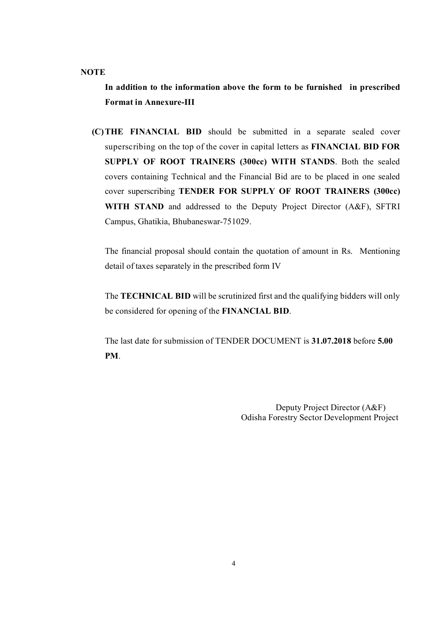#### **NOTE**

In addition to the information above the form to be furnished in prescribed Format in Annexure-III

(C)THE FINANCIAL BID should be submitted in a separate sealed cover superscribing on the top of the cover in capital letters as FINANCIAL BID FOR SUPPLY OF ROOT TRAINERS (300cc) WITH STANDS. Both the sealed covers containing Technical and the Financial Bid are to be placed in one sealed cover superscribing TENDER FOR SUPPLY OF ROOT TRAINERS (300cc) WITH STAND and addressed to the Deputy Project Director (A&F), SFTRI Campus, Ghatikia, Bhubaneswar-751029.

The financial proposal should contain the quotation of amount in Rs. Mentioning detail of taxes separately in the prescribed form IV

The TECHNICAL BID will be scrutinized first and the qualifying bidders will only be considered for opening of the FINANCIAL BID.

The last date for submission of TENDER DOCUMENT is 31.07.2018 before 5.00 PM.

> Deputy Project Director (A&F) Odisha Forestry Sector Development Project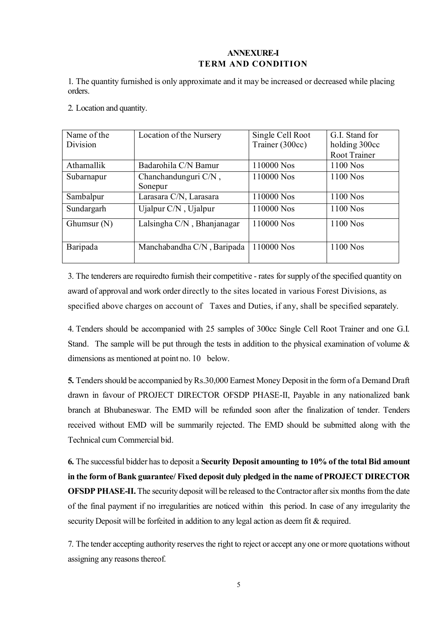## ANNEXURE-I TERM AND CONDITION

1. The quantity furnished is only approximate and it may be increased or decreased while placing orders.

2. Location and quantity.

| Name of the   | Location of the Nursery    | Single Cell Root | G.I. Stand for |
|---------------|----------------------------|------------------|----------------|
| Division      |                            | Trainer (300cc)  | holding 300cc  |
|               |                            |                  | Root Trainer   |
| Athamallik    | Badarohila C/N Bamur       | 110000 Nos       | 1100 Nos       |
| Subarnapur    | Chanchandunguri C/N,       | 110000 Nos       | 1100 Nos       |
|               | Sonepur                    |                  |                |
| Sambalpur     | Larasara C/N, Larasara     | 110000 Nos       | 1100 Nos       |
| Sundargarh    | Ujalpur C/N, Ujalpur       | 110000 Nos       | 1100 Nos       |
| Ghumsur $(N)$ | Lalsingha C/N, Bhanjanagar | 110000 Nos       | 1100 Nos       |
| Baripada      | Manchabandha C/N, Baripada | 110000 Nos       | 1100 Nos       |

3. The tenderers are requiredto furnish their competitive - rates for supply of the specified quantity on award of approval and work order directly to the sites located in various Forest Divisions, as specified above charges on account of Taxes and Duties, if any, shall be specified separately.

4. Tenders should be accompanied with 25 samples of 300cc Single Cell Root Trainer and one G.I. Stand. The sample will be put through the tests in addition to the physical examination of volume  $\&$ dimensions as mentioned at point no. 10 below.

5. Tenders should be accompanied by Rs.30,000 Earnest Money Deposit in the form of a Demand Draft drawn in favour of PROJECT DIRECTOR OFSDP PHASE-II, Payable in any nationalized bank branch at Bhubaneswar. The EMD will be refunded soon after the finalization of tender. Tenders received without EMD will be summarily rejected. The EMD should be submitted along with the Technical cum Commercial bid.

6. The successful bidder has to deposit a Security Deposit amounting to 10% of the total Bid amount in the form of Bank guarantee/ Fixed deposit duly pledged in the name of PROJECT DIRECTOR OFSDP PHASE-II. The security deposit will be released to the Contractor after six months from the date of the final payment if no irregularities are noticed within this period. In case of any irregularity the security Deposit will be forfeited in addition to any legal action as deem fit & required.

7. The tender accepting authority reserves the right to reject or accept any one or more quotations without assigning any reasons thereof.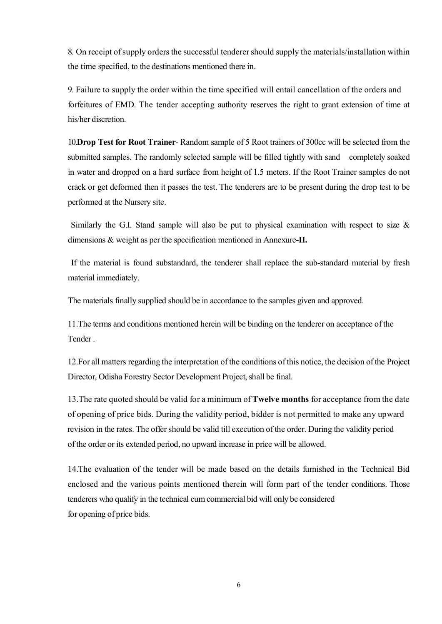8. On receipt of supply orders the successful tenderer should supply the materials/installation within the time specified, to the destinations mentioned there in.

9. Failure to supply the order within the time specified will entail cancellation of the orders and forfeitures of EMD. The tender accepting authority reserves the right to grant extension of time at his/her discretion.

10.Drop Test for Root Trainer- Random sample of 5 Root trainers of 300cc will be selected from the submitted samples. The randomly selected sample will be filled tightly with sand completely soaked in water and dropped on a hard surface from height of 1.5 meters. If the Root Trainer samples do not crack or get deformed then it passes the test. The tenderers are to be present during the drop test to be performed at the Nursery site.

 Similarly the G.I. Stand sample will also be put to physical examination with respect to size & dimensions & weight as per the specification mentioned in Annexure-II.

 If the material is found substandard, the tenderer shall replace the sub-standard material by fresh material immediately.

The materials finally supplied should be in accordance to the samples given and approved.

11.The terms and conditions mentioned herein will be binding on the tenderer on acceptance of the Tender .

12.For all matters regarding the interpretation of the conditions of this notice, the decision of the Project Director, Odisha Forestry Sector Development Project, shall be final.

13.The rate quoted should be valid for a minimum of Twelve months for acceptance from the date of opening of price bids. During the validity period, bidder is not permitted to make any upward revision in the rates. The offer should be valid till execution of the order. During the validity period of the order or its extended period, no upward increase in price will be allowed.

14.The evaluation of the tender will be made based on the details furnished in the Technical Bid enclosed and the various points mentioned therein will form part of the tender conditions. Those tenderers who qualify in the technical cum commercial bid will only be considered for opening of price bids.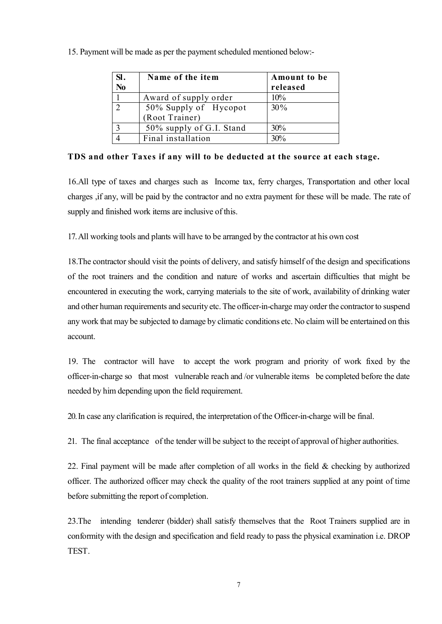| SI.<br>N <sub>0</sub> | Name of the item         | Amount to be<br>released |
|-----------------------|--------------------------|--------------------------|
|                       | Award of supply order    | 10%                      |
| $\bigcap$             | 50% Supply of Hycopot    | 30%                      |
|                       | (Root Trainer)           |                          |
|                       | 50% supply of G.I. Stand | 30%                      |
|                       | Final installation       | 30%                      |

15. Payment will be made as per the payment scheduled mentioned below:-

TDS and other Taxes if any will to be deducted at the source at each stage.

16.All type of taxes and charges such as Income tax, ferry charges, Transportation and other local charges ,if any, will be paid by the contractor and no extra payment for these will be made. The rate of supply and finished work items are inclusive of this.

17. All working tools and plants will have to be arranged by the contractor at his own cost

18.The contractor should visit the points of delivery, and satisfy himself of the design and specifications of the root trainers and the condition and nature of works and ascertain difficulties that might be encountered in executing the work, carrying materials to the site of work, availability of drinking water and other human requirements and security etc. The officer-in-charge may order the contractor to suspend any work that may be subjected to damage by climatic conditions etc. No claim will be entertained on this account.

19. The contractor will have to accept the work program and priority of work fixed by the officer-in-charge so that most vulnerable reach and /or vulnerable items be completed before the date needed by him depending upon the field requirement.

20. In case any clarification is required, the interpretation of the Officer-in-charge will be final.

21. The final acceptance of the tender will be subject to the receipt of approval of higher authorities.

22. Final payment will be made after completion of all works in the field & checking by authorized officer. The authorized officer may check the quality of the root trainers supplied at any point of time before submitting the report of completion.

23.The intending tenderer (bidder) shall satisfy themselves that the Root Trainers supplied are in conformity with the design and specification and field ready to pass the physical examination i.e. DROP TEST.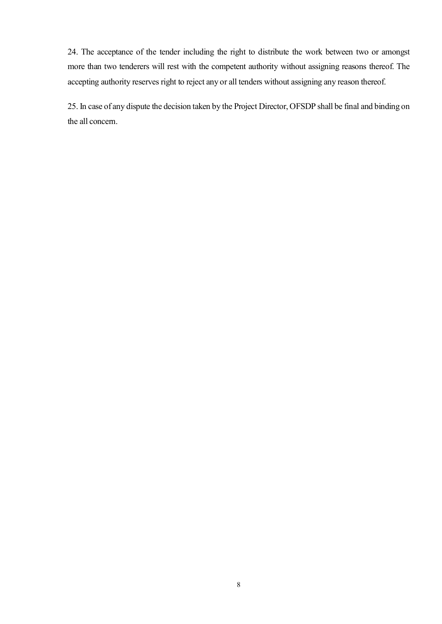24. The acceptance of the tender including the right to distribute the work between two or amongst more than two tenderers will rest with the competent authority without assigning reasons thereof. The accepting authority reserves right to reject any or all tenders without assigning any reason thereof.

25. In case of any dispute the decision taken by the Project Director, OFSDP shall be final and binding on the all concern.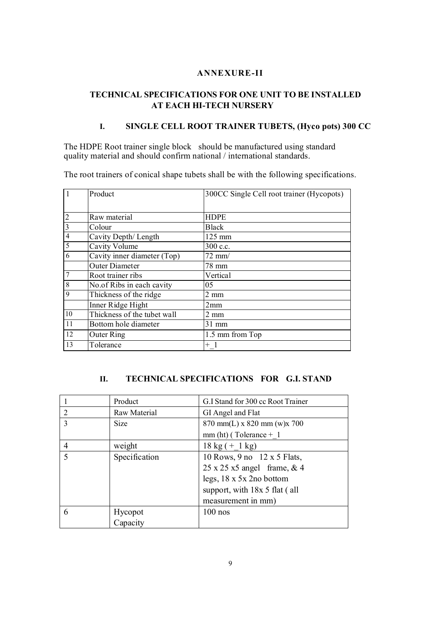## ANNEXURE-II

## TECHNICAL SPECIFICATIONS FOR ONE UNIT TO BE INSTALLED AT EACH HI-TECH NURSERY

## I. SINGLE CELL ROOT TRAINER TUBETS, (Hyco pots) 300 CC

The HDPE Root trainer single block should be manufactured using standard quality material and should confirm national / international standards.

The root trainers of conical shape tubets shall be with the following specifications.

| $\vert$ 1      | Product                     | 300CC Single Cell root trainer (Hycopots) |
|----------------|-----------------------------|-------------------------------------------|
|                |                             |                                           |
| $\overline{2}$ | Raw material                | <b>HDPE</b>                               |
| $\overline{3}$ | Colour                      | <b>Black</b>                              |
| $\overline{4}$ | Cavity Depth/ Length        | 125 mm                                    |
| 5              | Cavity Volume               | 300 c.c.                                  |
| 6              | Cavity inner diameter (Top) | $72$ mm/                                  |
|                | <b>Outer Diameter</b>       | 78 mm                                     |
| $\overline{7}$ | Root trainer ribs           | Vertical                                  |
| 8              | No.of Ribs in each cavity   | 05                                        |
| 9              | Thickness of the ridge      | $2 \text{ mm}$                            |
|                | Inner Ridge Hight           | 2mm                                       |
| 10             | Thickness of the tubet wall | $2 \text{ mm}$                            |
| 11             | Bottom hole diameter        | 31 mm                                     |
| 12             | Outer Ring                  | 1.5 mm from Top                           |
| 13             | Tolerance                   | $+1$                                      |

## II. TECHNICAL SPECIFICATIONS FOR G.I. STAND

|                          | Product       | G.I Stand for 300 cc Root Trainer        |  |  |
|--------------------------|---------------|------------------------------------------|--|--|
| $\overline{2}$           | Raw Material  | GI Angel and Flat                        |  |  |
| 3                        | <b>Size</b>   | $870$ mm(L) x $820$ mm (w)x $700$        |  |  |
|                          |               | $mm(ht)$ (Tolerance + 1)                 |  |  |
|                          | weight        | $18 \text{ kg} (+ 1 \text{ kg})$         |  |  |
| $\overline{\mathcal{L}}$ | Specification | 10 Rows, 9 no 12 x 5 Flats,              |  |  |
|                          |               | $25 \times 25 \times 5$ angel frame, & 4 |  |  |
|                          |               | legs, $18 \times 5 \times 2$ no bottom   |  |  |
|                          |               | support, with 18x 5 flat (all            |  |  |
|                          |               | measurement in mm)                       |  |  |
| 6                        | Hycopot       | $100$ nos                                |  |  |
|                          | Capacity      |                                          |  |  |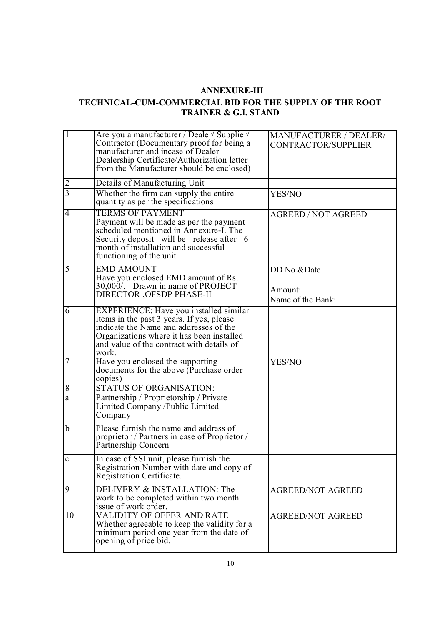## ANNEXURE-III

## TECHNICAL-CUM-COMMERCIAL BID FOR THE SUPPLY OF THE ROOT TRAINER & G.I. STAND

| $\overline{1}$ | Are you a manufacturer / Dealer/ Supplier/<br>Contractor (Documentary proof for being a<br>manufacturer and incase of Dealer<br>Dealership Certificate/Authorization letter<br>from the Manufacturer should be enclosed)         | MANUFACTURER / DEALER/<br>CONTRACTOR/SUPPLIER |
|----------------|----------------------------------------------------------------------------------------------------------------------------------------------------------------------------------------------------------------------------------|-----------------------------------------------|
| $\overline{2}$ | Details of Manufacturing Unit                                                                                                                                                                                                    |                                               |
| $\overline{3}$ | Whether the firm can supply the entire<br>quantity as per the specifications                                                                                                                                                     | YES/NO                                        |
| $\overline{4}$ | <b>TERMS OF PAYMENT</b><br>Payment will be made as per the payment<br>scheduled mentioned in Annexure-I. The<br>Security deposit will be release after 6<br>month of installation and successful<br>functioning of the unit      | <b>AGREED / NOT AGREED</b>                    |
| $\overline{5}$ | <b>EMD AMOUNT</b><br>Have you enclosed EMD amount of Rs.<br>30,000/. Drawn in name of PROJECT<br>DIRECTOR , OFSDP PHASE-II                                                                                                       | DD No &Date<br>Amount:<br>Name of the Bank:   |
| 6              | EXPERIENCE: Have you installed similar<br>items in the past 3 years. If yes, please<br>indicate the Name and addresses of the<br>Organizations where it has been installed<br>and value of the contract with details of<br>work. |                                               |
|                | Have you enclosed the supporting<br>documents for the above (Purchase order<br>copies)                                                                                                                                           | YES/NO                                        |
| $\overline{8}$ | <b>STATUS OF ORGANISATION:</b>                                                                                                                                                                                                   |                                               |
| $\overline{a}$ | Partnership / Proprietorship / Private<br>Limited Company /Public Limited<br>Company                                                                                                                                             |                                               |
| $\overline{b}$ | Please furnish the name and address of<br>proprietor / Partners in case of Proprietor /<br>Partnership Concern                                                                                                                   |                                               |
| $\mathbf c$    | In case of SSI unit, please furnish the<br>Registration Number with date and copy of<br>Registration Certificate.                                                                                                                |                                               |
| 9              | DELIVERY & INSTALLATION: The<br>work to be completed within two month<br>issue of work order.                                                                                                                                    | <b>AGREED/NOT AGREED</b>                      |
| 10             | <b>VALIDITY OF OFFER AND RATE</b><br>Whether agreeable to keep the validity for a<br>minimum period one year from the date of<br>opening of price bid.                                                                           | <b>AGREED/NOT AGREED</b>                      |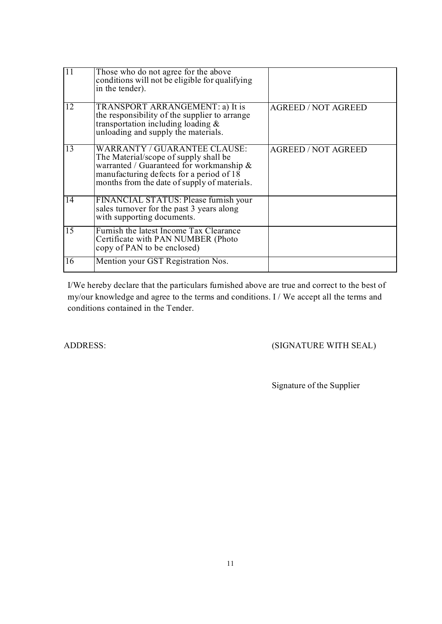| <sup>11</sup> | Those who do not agree for the above<br>conditions will not be eligible for qualifying<br>in the tender).                                                                                                     |                            |
|---------------|---------------------------------------------------------------------------------------------------------------------------------------------------------------------------------------------------------------|----------------------------|
| 12            | TRANSPORT ARRANGEMENT: a) It is<br>the responsibility of the supplier to arrange<br>transportation including loading $\&$<br>unloading and supply the materials.                                              | <b>AGREED / NOT AGREED</b> |
| 13            | WARRANTY / GUARANTEE CLAUSE:<br>The Material/scope of supply shall be<br>warranted / Guaranteed for workmanship &<br>manufacturing defects for a period of 18<br>months from the date of supply of materials. | <b>AGREED / NOT AGREED</b> |
| 14            | FINANCIAL STATUS: Please furnish your<br>sales turnover for the past 3 years along<br>with supporting documents.                                                                                              |                            |
| 15            | Furnish the latest Income Tax Clearance<br>Certificate with PAN NUMBER (Photo<br>copy of PAN to be enclosed)                                                                                                  |                            |
| 16            | Mention your GST Registration Nos.                                                                                                                                                                            |                            |

I/We hereby declare that the particulars furnished above are true and correct to the best of my/our knowledge and agree to the terms and conditions. I / We accept all the terms and conditions contained in the Tender.

ADDRESS: (SIGNATURE WITH SEAL)

Signature of the Supplier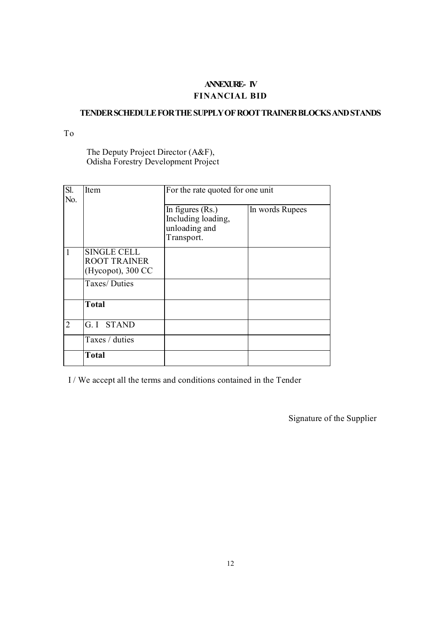# ANNEXURE- IV FINANCIAL BID

## TENDER SCHEDULE FOR THE SUPPLY OF ROOT TRAINER BLOCKS AND STANDS

To

The Deputy Project Director (A&F), Odisha Forestry Development Project

| Sl.<br>No.     | Item                                                           | For the rate quoted for one unit                                        |                 |  |  |  |
|----------------|----------------------------------------------------------------|-------------------------------------------------------------------------|-----------------|--|--|--|
|                |                                                                | In figures $(Rs.)$<br>Including loading,<br>unloading and<br>Transport. | In words Rupees |  |  |  |
| 1              | <b>SINGLE CELL</b><br><b>ROOT TRAINER</b><br>(Hycopot), 300 CC |                                                                         |                 |  |  |  |
|                | Taxes/Duties                                                   |                                                                         |                 |  |  |  |
|                | <b>Total</b>                                                   |                                                                         |                 |  |  |  |
| $\overline{2}$ | G. I STAND                                                     |                                                                         |                 |  |  |  |
|                | Taxes / duties                                                 |                                                                         |                 |  |  |  |
|                | <b>Total</b>                                                   |                                                                         |                 |  |  |  |

I / We accept all the terms and conditions contained in the Tender

Signature of the Supplier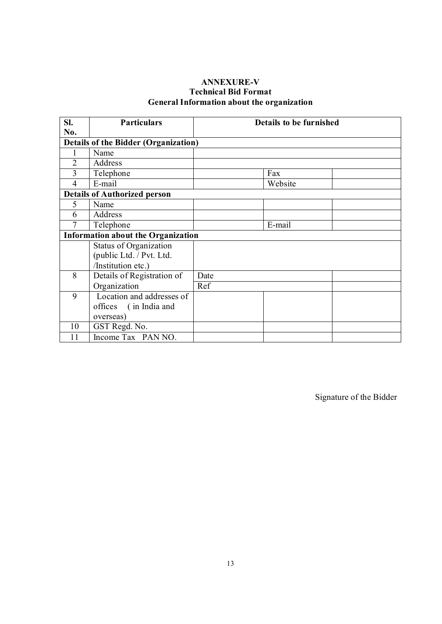## ANNEXURE-V Technical Bid Format General Information about the organization

| SI.                                         | <b>Particulars</b>                        | <b>Details to be furnished</b> |  |  |  |  |  |
|---------------------------------------------|-------------------------------------------|--------------------------------|--|--|--|--|--|
| No.                                         |                                           |                                |  |  |  |  |  |
| <b>Details of the Bidder (Organization)</b> |                                           |                                |  |  |  |  |  |
|                                             | Name                                      |                                |  |  |  |  |  |
| $\overline{2}$                              | Address                                   |                                |  |  |  |  |  |
| 3                                           | Telephone                                 | Fax                            |  |  |  |  |  |
| $\overline{4}$                              | E-mail                                    | Website                        |  |  |  |  |  |
|                                             | <b>Details of Authorized person</b>       |                                |  |  |  |  |  |
| 5                                           | Name                                      |                                |  |  |  |  |  |
| 6                                           | Address                                   |                                |  |  |  |  |  |
| 7                                           | Telephone                                 | E-mail                         |  |  |  |  |  |
|                                             | <b>Information about the Organization</b> |                                |  |  |  |  |  |
|                                             | Status of Organization                    |                                |  |  |  |  |  |
|                                             | (public Ltd. / Pvt. Ltd.                  |                                |  |  |  |  |  |
|                                             | /Institution etc.)                        |                                |  |  |  |  |  |
| 8                                           | Details of Registration of                | Date                           |  |  |  |  |  |
|                                             | Organization                              | Ref                            |  |  |  |  |  |
| 9                                           | Location and addresses of                 |                                |  |  |  |  |  |
|                                             | offices (in India and                     |                                |  |  |  |  |  |
|                                             | overseas)                                 |                                |  |  |  |  |  |
| 10                                          | GST Regd. No.                             |                                |  |  |  |  |  |
| 11                                          | Income Tax PAN NO.                        |                                |  |  |  |  |  |

Signature of the Bidder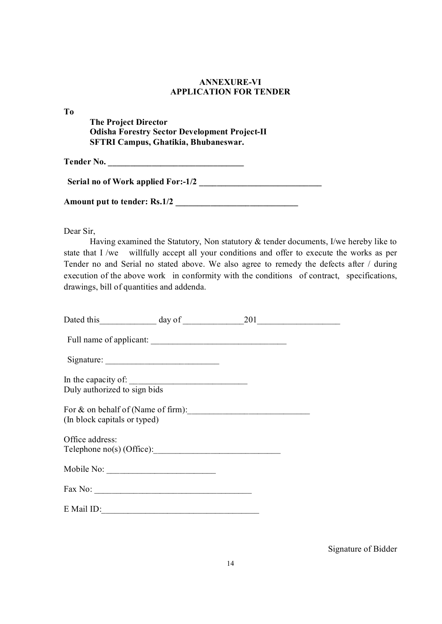## ANNEXURE-VI APPLICATION FOR TENDER

To

 The Project Director Odisha Forestry Sector Development Project-II SFTRI Campus, Ghatikia, Bhubaneswar.

Tender No. \_\_\_\_\_\_\_\_\_\_\_\_\_\_\_\_\_\_\_\_\_\_\_\_\_\_\_\_\_\_\_

Serial no of Work applied For:-1/2

Amount put to tender: Rs.1/2 \_\_\_\_\_\_\_\_\_\_\_\_\_\_\_\_\_\_\_\_\_\_\_\_\_\_\_\_

Dear Sir,

 Having examined the Statutory, Non statutory & tender documents, I/we hereby like to state that I /we willfully accept all your conditions and offer to execute the works as per Tender no and Serial no stated above. We also agree to remedy the defects after / during execution of the above work in conformity with the conditions of contract, specifications, drawings, bill of quantities and addenda.

| Dated this $\qquad \qquad \text{day of } \qquad \qquad 201$        |  |  |
|--------------------------------------------------------------------|--|--|
|                                                                    |  |  |
| Signature:                                                         |  |  |
|                                                                    |  |  |
|                                                                    |  |  |
| For & on behalf of (Name of firm):<br>(In block capitals or typed) |  |  |
| Office address:                                                    |  |  |
|                                                                    |  |  |
|                                                                    |  |  |
|                                                                    |  |  |
| E Mail ID:                                                         |  |  |

Signature of Bidder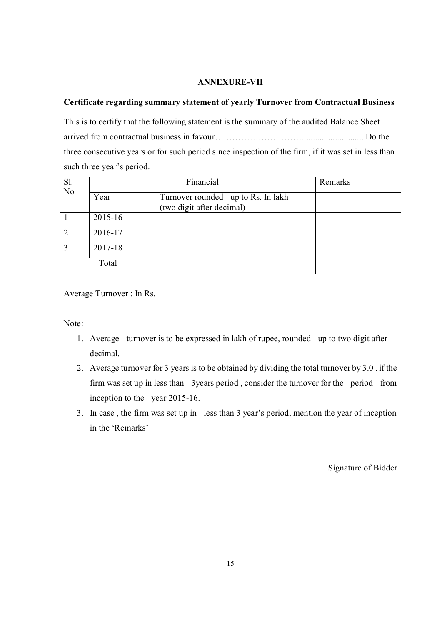#### ANNEXURE-VII

#### Certificate regarding summary statement of yearly Turnover from Contractual Business

This is to certify that the following statement is the summary of the audited Balance Sheet arrived from contractual business in favour…………………………............................ Do the three consecutive years or for such period since inspection of the firm, if it was set in less than such three year's period.

| Sl.<br>$\overline{N}$ |         | Remarks                                                         |  |
|-----------------------|---------|-----------------------------------------------------------------|--|
|                       | Year    | Turnover rounded up to Rs. In lakh<br>(two digit after decimal) |  |
|                       | 2015-16 |                                                                 |  |
| $\overline{2}$        | 2016-17 |                                                                 |  |
| 3                     | 2017-18 |                                                                 |  |
|                       | Total   |                                                                 |  |

Average Turnover : In Rs.

Note:

- 1. Average turnover is to be expressed in lakh of rupee, rounded up to two digit after decimal.
- 2. Average turnover for 3 years is to be obtained by dividing the total turnover by 3.0 . if the firm was set up in less than 3years period , consider the turnover for the period from inception to the year 2015-16.
- 3. In case , the firm was set up in less than 3 year's period, mention the year of inception in the 'Remarks'

Signature of Bidder